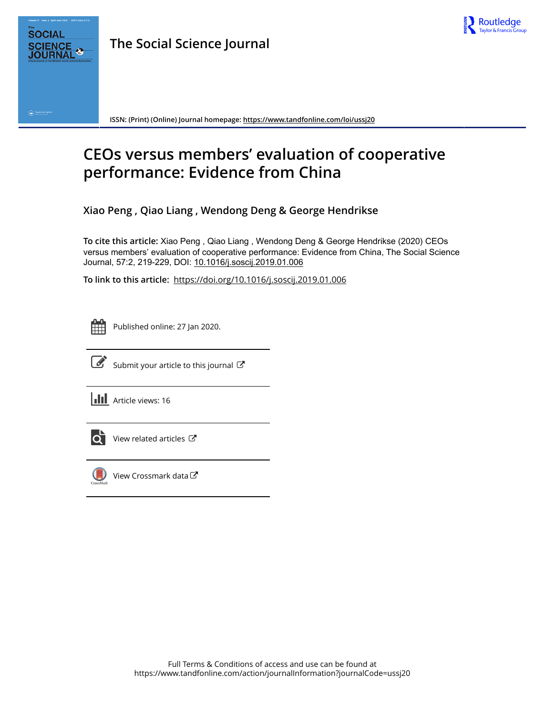



**ISSN: (Print) (Online) Journal homepage:<https://www.tandfonline.com/loi/ussj20>**

# **CEOs versus members' evaluation of cooperative performance: Evidence from China**

**Xiao Peng , Qiao Liang , Wendong Deng & George Hendrikse**

**To cite this article:** Xiao Peng , Qiao Liang , Wendong Deng & George Hendrikse (2020) CEOs versus members' evaluation of cooperative performance: Evidence from China, The Social Science Journal, 57:2, 219-229, DOI: [10.1016/j.soscij.2019.01.006](https://www.tandfonline.com/action/showCitFormats?doi=10.1016/j.soscij.2019.01.006)

**To link to this article:** <https://doi.org/10.1016/j.soscij.2019.01.006>



Published online: 27 Jan 2020.



 $\overrightarrow{S}$  [Submit your article to this journal](https://www.tandfonline.com/action/authorSubmission?journalCode=ussj20&show=instructions)  $\overrightarrow{S}$ 

**III** Article views: 16



[View related articles](https://www.tandfonline.com/doi/mlt/10.1016/j.soscij.2019.01.006)  $\mathbb{Z}$ 



[View Crossmark data](http://crossmark.crossref.org/dialog/?doi=10.1016/j.soscij.2019.01.006&domain=pdf&date_stamp=2020-01-27)<sup>で</sup>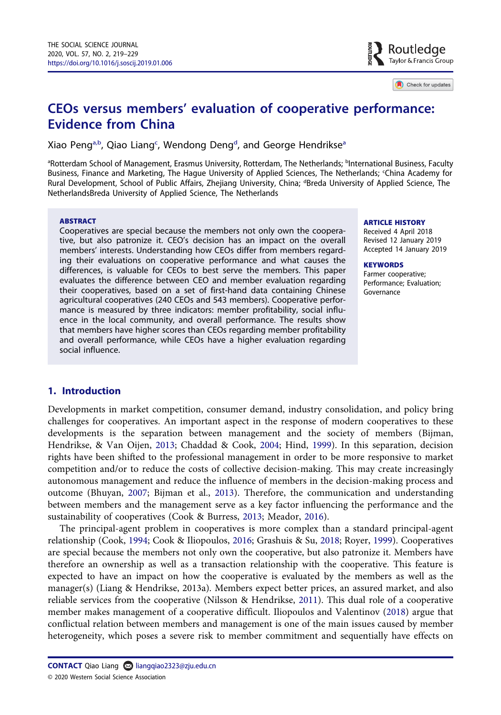

Check for updates

# CEOs versus members' evaluation of cooperative performance: Evidence from China

Xiao Peng<sup>a,b</sup>, Qiao Liang<sup>[c](#page-1-1)</sup>, Wendong Deng<sup>d</sup>, [a](#page-1-0)nd George Hendrikse<sup>a</sup>

<span id="page-1-2"></span><span id="page-1-1"></span><span id="page-1-0"></span>ªRotterdam School of Management, Erasmus University, Rotterdam, The Netherlands; <sup>b</sup>International Business, Faculty Business, Finance and Marketing, The Hague University of Applied Sciences, The Netherlands; <sup>c</sup>China Academy for Rural Development, School of Public Affairs, Zhejiang University, China; <sup>a</sup>Breda University of Applied Science, The NetherlandsBreda University of Applied Science, The Netherlands

#### **ABSTRACT**

Cooperatives are special because the members not only own the cooperative, but also patronize it. CEO's decision has an impact on the overall members' interests. Understanding how CEOs differ from members regarding their evaluations on cooperative performance and what causes the differences, is valuable for CEOs to best serve the members. This paper evaluates the difference between CEO and member evaluation regarding their cooperatives, based on a set of first-hand data containing Chinese agricultural cooperatives (240 CEOs and 543 members). Cooperative performance is measured by three indicators: member profitability, social influence in the local community, and overall performance. The results show that members have higher scores than CEOs regarding member profitability and overall performance, while CEOs have a higher evaluation regarding social influence.

#### ARTICLE HISTORY

Received 4 April 2018 Revised 12 January 2019 Accepted 14 January 2019

#### **KEYWORDS**

Farmer cooperative; Performance; Evaluation; Governance

# 1. Introduction

<span id="page-1-4"></span>Developments in market competition, consumer demand, industry consolidation, and policy bring challenges for cooperatives. An important aspect in the response of modern cooperatives to these developments is the separation between management and the society of members (Bijman, Hendrikse, & Van Oijen, [2013;](#page-10-0) Chaddad & Cook, [2004;](#page-10-1) Hind, [1999](#page-10-2)). In this separation, decision rights have been shifted to the professional management in order to be more responsive to market competition and/or to reduce the costs of collective decision-making. This may create increasingly autonomous management and reduce the influence of members in the decision-making process and outcome (Bhuyan, [2007](#page-10-3); Bijman et al., [2013](#page-10-0)). Therefore, the communication and understanding between members and the management serve as a key factor influencing the performance and the sustainability of cooperatives (Cook & Burress, [2013](#page-10-4); Meador, [2016](#page-11-0)).

<span id="page-1-8"></span><span id="page-1-7"></span><span id="page-1-6"></span><span id="page-1-5"></span><span id="page-1-3"></span>The principal-agent problem in cooperatives is more complex than a standard principal-agent relationship (Cook, [1994;](#page-10-5) Cook & Iliopoulos, [2016](#page-10-6); Grashuis & Su, [2018](#page-10-7); Royer, [1999\)](#page-11-1). Cooperatives are special because the members not only own the cooperative, but also patronize it. Members have therefore an ownership as well as a transaction relationship with the cooperative. This feature is expected to have an impact on how the cooperative is evaluated by the members as well as the manager(s) (Liang & Hendrikse, 2013a). Members expect better prices, an assured market, and also reliable services from the cooperative (Nilsson & Hendrikse, [2011\)](#page-10-8). This dual role of a cooperative member makes management of a cooperative difficult. Iliopoulos and Valentinov ([2018\)](#page-10-9) argue that conflictual relation between members and management is one of the main issues caused by member heterogeneity, which poses a severe risk to member commitment and sequentially have effects on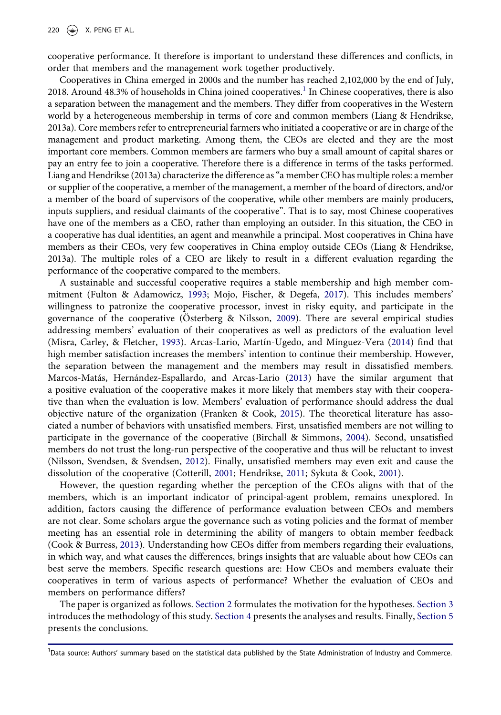cooperative performance. It therefore is important to understand these differences and conflicts, in order that members and the management work together productively.

Cooperatives in China emerged in 2000s and the number has reached 2,102,000 by the end of July, 2018. Around  $48.3\%$  of households in China joined cooperatives.<sup>1</sup> In Chinese cooperatives, there is also a separation between the management and the members. They differ from cooperatives in the Western world by a heterogeneous membership in terms of core and common members (Liang & Hendrikse, 2013a). Core members refer to entrepreneurial farmers who initiated a cooperative or are in charge of the management and product marketing. Among them, the CEOs are elected and they are the most important core members. Common members are farmers who buy a small amount of capital shares or pay an entry fee to join a cooperative. Therefore there is a difference in terms of the tasks performed. Liang and Hendrikse (2013a) characterize the difference as"a member CEO has multiple roles: a member or supplier of the cooperative, a member of the management, a member of the board of directors, and/or a member of the board of supervisors of the cooperative, while other members are mainly producers, inputs suppliers, and residual claimants of the cooperative". That is to say, most Chinese cooperatives have one of the members as a CEO, rather than employing an outsider. In this situation, the CEO in a cooperative has dual identities, an agent and meanwhile a principal. Most cooperatives in China have members as their CEOs, very few cooperatives in China employ outside CEOs (Liang & Hendrikse, 2013a). The multiple roles of a CEO are likely to result in a different evaluation regarding the performance of the cooperative compared to the members.

<span id="page-2-8"></span><span id="page-2-6"></span><span id="page-2-5"></span><span id="page-2-1"></span>A sustainable and successful cooperative requires a stable membership and high member commitment (Fulton & Adamowicz, [1993](#page-10-10); Mojo, Fischer, & Degefa, [2017](#page-11-2)). This includes members' willingness to patronize the cooperative processor, invest in risky equity, and participate in the governance of the cooperative (Österberg & Nilsson, [2009](#page-11-3)). There are several empirical studies addressing members' evaluation of their cooperatives as well as predictors of the evaluation level (Misra, Carley, & Fletcher, [1993\)](#page-11-4). Arcas-Lario, Martín-Ugedo, and Mínguez-Vera ([2014\)](#page-10-11) find that high member satisfaction increases the members' intention to continue their membership. However, the separation between the management and the members may result in dissatisfied members. Marcos-Matás, Hernández-Espallardo, and Arcas-Lario ([2013\)](#page-11-5) have the similar argument that a positive evaluation of the cooperative makes it more likely that members stay with their cooperative than when the evaluation is low. Members' evaluation of performance should address the dual objective nature of the organization (Franken & Cook, [2015](#page-10-12)). The theoretical literature has associated a number of behaviors with unsatisfied members. First, unsatisfied members are not willing to participate in the governance of the cooperative (Birchall & Simmons, [2004](#page-10-13)). Second, unsatisfied members do not trust the long-run perspective of the cooperative and thus will be reluctant to invest (Nilsson, Svendsen, & Svendsen, [2012\)](#page-11-6). Finally, unsatisfied members may even exit and cause the dissolution of the cooperative (Cotterill, [2001;](#page-10-14) Hendrikse, [2011](#page-10-8); Sykuta & Cook, [2001](#page-11-7)).

<span id="page-2-7"></span><span id="page-2-4"></span><span id="page-2-3"></span><span id="page-2-2"></span>However, the question regarding whether the perception of the CEOs aligns with that of the members, which is an important indicator of principal-agent problem, remains unexplored. In addition, factors causing the difference of performance evaluation between CEOs and members are not clear. Some scholars argue the governance such as voting policies and the format of member meeting has an essential role in determining the ability of mangers to obtain member feedback (Cook & Burress, [2013](#page-10-4)). Understanding how CEOs differ from members regarding their evaluations, in which way, and what causes the differences, brings insights that are valuable about how CEOs can best serve the members. Specific research questions are: How CEOs and members evaluate their cooperatives in term of various aspects of performance? Whether the evaluation of CEOs and members on performance differs?

The paper is organized as follows. [Section 2](#page-3-0) formulates the motivation for the hypotheses. [Section 3](#page-5-0) introduces the methodology of this study. [Section 4](#page-6-0) presents the analyses and results. Finally, [Section 5](#page-9-0) presents the conclusions.

<span id="page-2-0"></span><sup>&</sup>lt;sup>1</sup>Data source: Authors' summary based on the statistical data published by the State Administration of Industry and Commerce.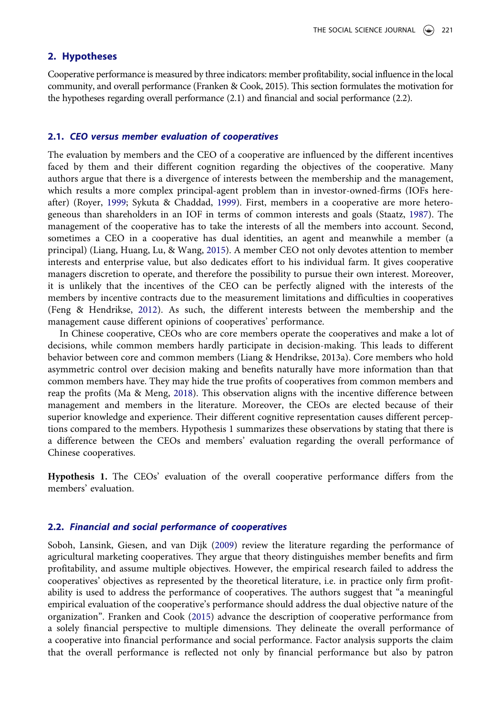#### <span id="page-3-0"></span>2. Hypotheses

Cooperative performance is measured by three indicators: member profitability, social influence in the local community, and overall performance (Franken & Cook, 2015). This section formulates the motivation for the hypotheses regarding overall performance (2.1) and financial and social performance (2.2).

#### 2.1. CEO versus member evaluation of cooperatives

<span id="page-3-6"></span><span id="page-3-5"></span>The evaluation by members and the CEO of a cooperative are influenced by the different incentives faced by them and their different cognition regarding the objectives of the cooperative. Many authors argue that there is a divergence of interests between the membership and the management, which results a more complex principal-agent problem than in investor-owned-firms (IOFs hereafter) (Royer, [1999;](#page-11-1) Sykuta & Chaddad, [1999\)](#page-11-8). First, members in a cooperative are more heterogeneous than shareholders in an IOF in terms of common interests and goals (Staatz, [1987\)](#page-11-9). The management of the cooperative has to take the interests of all the members into account. Second, sometimes a CEO in a cooperative has dual identities, an agent and meanwhile a member (a principal) (Liang, Huang, Lu, & Wang, [2015\)](#page-10-15). A member CEO not only devotes attention to member interests and enterprise value, but also dedicates effort to his individual farm. It gives cooperative managers discretion to operate, and therefore the possibility to pursue their own interest. Moreover, it is unlikely that the incentives of the CEO can be perfectly aligned with the interests of the members by incentive contracts due to the measurement limitations and difficulties in cooperatives (Feng & Hendrikse, [2012](#page-10-16)). As such, the different interests between the membership and the management cause different opinions of cooperatives' performance.

<span id="page-3-3"></span><span id="page-3-2"></span><span id="page-3-1"></span>In Chinese cooperative, CEOs who are core members operate the cooperatives and make a lot of decisions, while common members hardly participate in decision-making. This leads to different behavior between core and common members (Liang & Hendrikse, 2013a). Core members who hold asymmetric control over decision making and benefits naturally have more information than that common members have. They may hide the true profits of cooperatives from common members and reap the profits (Ma & Meng, [2018\)](#page-10-17). This observation aligns with the incentive difference between management and members in the literature. Moreover, the CEOs are elected because of their superior knowledge and experience. Their different cognitive representation causes different perceptions compared to the members. Hypothesis 1 summarizes these observations by stating that there is a difference between the CEOs and members' evaluation regarding the overall performance of Chinese cooperatives.

Hypothesis 1. The CEOs' evaluation of the overall cooperative performance differs from the members' evaluation.

#### 2.2. Financial and social performance of cooperatives

<span id="page-3-4"></span>Soboh, Lansink, Giesen, and van Dijk [\(2009](#page-11-10)) review the literature regarding the performance of agricultural marketing cooperatives. They argue that theory distinguishes member benefits and firm profitability, and assume multiple objectives. However, the empirical research failed to address the cooperatives' objectives as represented by the theoretical literature, i.e. in practice only firm profitability is used to address the performance of cooperatives. The authors suggest that "a meaningful empirical evaluation of the cooperative's performance should address the dual objective nature of the organization". Franken and Cook ([2015\)](#page-10-12) advance the description of cooperative performance from a solely financial perspective to multiple dimensions. They delineate the overall performance of a cooperative into financial performance and social performance. Factor analysis supports the claim that the overall performance is reflected not only by financial performance but also by patron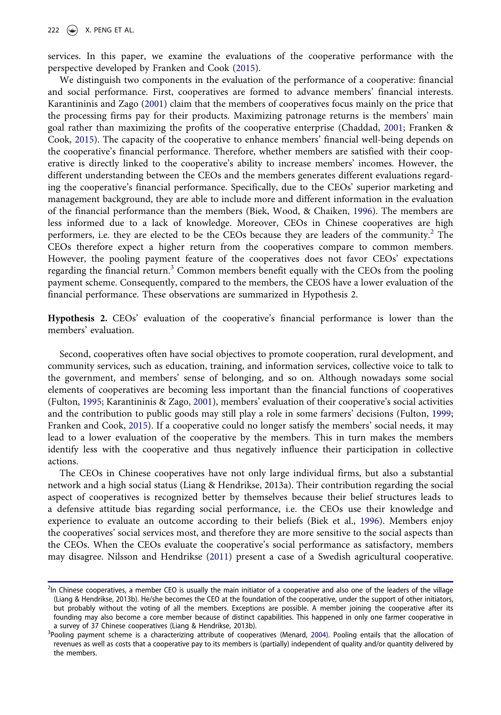services. In this paper, we examine the evaluations of the cooperative performance with the perspective developed by Franken and Cook [\(2015\)](#page-10-12).

<span id="page-4-3"></span>We distinguish two components in the evaluation of the performance of a cooperative: financial and social performance. First, cooperatives are formed to advance members' financial interests. Karantininis and Zago ([2001\)](#page-10-18) claim that the members of cooperatives focus mainly on the price that the processing firms pay for their products. Maximizing patronage returns is the members' main goal rather than maximizing the profits of the cooperative enterprise (Chaddad, [2001](#page-10-19); Franken & Cook, [2015](#page-10-12)). The capacity of the cooperative to enhance members' financial well-being depends on the cooperative's financial performance. Therefore, whether members are satisfied with their cooperative is directly linked to the cooperative's ability to increase members' incomes. However, the different understanding between the CEOs and the members generates different evaluations regarding the cooperative's financial performance. Specifically, due to the CEOs' superior marketing and management background, they are able to include more and different information in the evaluation of the financial performance than the members (Biek, Wood, & Chaiken, [1996](#page-10-20)). The members are less informed due to a lack of knowledge. Moreover, CEOs in Chinese cooperatives are high performers, i.e. they are elected to be the CEOs because they are leaders of the community. $^2$  $^2$  The CEOs therefore expect a higher return from the cooperatives compare to common members. However, the pooling payment feature of the cooperatives does not favor CEOs' expectations regarding the financial return.<sup>[3](#page-4-1)</sup> Common members benefit equally with the CEOs from the pooling payment scheme. Consequently, compared to the members, the CEOS have a lower evaluation of the financial performance. These observations are summarized in Hypothesis 2.

Hypothesis 2. CEOs' evaluation of the cooperative's financial performance is lower than the members' evaluation.

<span id="page-4-5"></span><span id="page-4-4"></span>Second, cooperatives often have social objectives to promote cooperation, rural development, and community services, such as education, training, and information services, collective voice to talk to the government, and members' sense of belonging, and so on. Although nowadays some social elements of cooperatives are becoming less important than the financial functions of cooperatives (Fulton, [1995](#page-10-21); Karantininis & Zago, [2001\)](#page-10-18), members' evaluation of their cooperative's social activities and the contribution to public goods may still play a role in some farmers' decisions (Fulton, [1999;](#page-10-22) Franken and Cook, [2015\)](#page-10-12). If a cooperative could no longer satisfy the members' social needs, it may lead to a lower evaluation of the cooperative by the members. This in turn makes the members identify less with the cooperative and thus negatively influence their participation in collective actions.

<span id="page-4-2"></span>The CEOs in Chinese cooperatives have not only large individual firms, but also a substantial network and a high social status (Liang & Hendrikse, 2013a). Their contribution regarding the social aspect of cooperatives is recognized better by themselves because their belief structures leads to a defensive attitude bias regarding social performance, i.e. the CEOs use their knowledge and experience to evaluate an outcome according to their beliefs (Biek et al., [1996](#page-10-20)). Members enjoy the cooperatives' social services most, and therefore they are more sensitive to the social aspects than the CEOs. When the CEOs evaluate the cooperative's social performance as satisfactory, members may disagree. Nilsson and Hendrikse ([2011](#page-10-8)) present a case of a Swedish agricultural cooperative.

<span id="page-4-0"></span><sup>&</sup>lt;sup>2</sup>In Chinese cooperatives, a member CEO is usually the main initiator of a cooperative and also one of the leaders of the village (Liang & Hendrikse, 2013b). He/she becomes the CEO at the foundation of the cooperative, under the support of other initiators, but probably without the voting of all the members. Exceptions are possible. A member joining the cooperative after its founding may also become a core member because of distinct capabilities. This happened in only one farmer cooperative in a survey of 37 Chinese cooperatives (Liang & Hendrikse, 2013b). <sup>3</sup>

<span id="page-4-1"></span><sup>&</sup>lt;sup>3</sup>Pooling payment scheme is a characterizing attribute of cooperatives (Menard, [2004](#page-11-11)). Pooling entails that the allocation of revenues as well as costs that a cooperative pay to its members is (partially) independent of quality and/or quantity delivered by the members.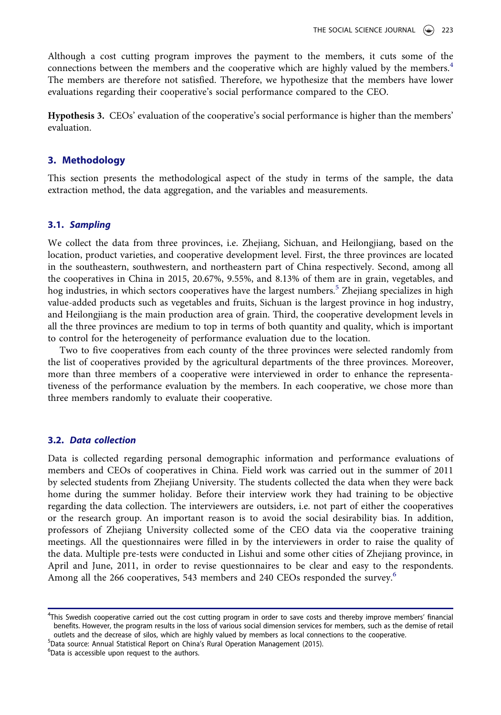Although a cost cutting program improves the payment to the members, it cuts some of the connections between the members and the cooperative which are highly valued by the members.<sup>[4](#page-5-1)</sup> The members are therefore not satisfied. Therefore, we hypothesize that the members have lower evaluations regarding their cooperative's social performance compared to the CEO.

Hypothesis 3. CEOs' evaluation of the cooperative's social performance is higher than the members' evaluation.

#### <span id="page-5-0"></span>3. Methodology

This section presents the methodological aspect of the study in terms of the sample, the data extraction method, the data aggregation, and the variables and measurements.

#### 3.1. Sampling

We collect the data from three provinces, i.e. Zhejiang, Sichuan, and Heilongjiang, based on the location, product varieties, and cooperative development level. First, the three provinces are located in the southeastern, southwestern, and northeastern part of China respectively. Second, among all the cooperatives in China in 2015, 20.67%, 9.55%, and 8.13% of them are in grain, vegetables, and hog industries, in which sectors cooperatives have the largest numbers.<sup>5</sup> Zhejiang specializes in high value-added products such as vegetables and fruits, Sichuan is the largest province in hog industry, and Heilongjiang is the main production area of grain. Third, the cooperative development levels in all the three provinces are medium to top in terms of both quantity and quality, which is important to control for the heterogeneity of performance evaluation due to the location.

Two to five cooperatives from each county of the three provinces were selected randomly from the list of cooperatives provided by the agricultural departments of the three provinces. Moreover, more than three members of a cooperative were interviewed in order to enhance the representativeness of the performance evaluation by the members. In each cooperative, we chose more than three members randomly to evaluate their cooperative.

#### 3.2. Data collection

Data is collected regarding personal demographic information and performance evaluations of members and CEOs of cooperatives in China. Field work was carried out in the summer of 2011 by selected students from Zhejiang University. The students collected the data when they were back home during the summer holiday. Before their interview work they had training to be objective regarding the data collection. The interviewers are outsiders, i.e. not part of either the cooperatives or the research group. An important reason is to avoid the social desirability bias. In addition, professors of Zhejiang University collected some of the CEO data via the cooperative training meetings. All the questionnaires were filled in by the interviewers in order to raise the quality of the data. Multiple pre-tests were conducted in Lishui and some other cities of Zhejiang province, in April and June, 2011, in order to revise questionnaires to be clear and easy to the respondents. Among all the 2[6](#page-5-3)6 cooperatives, 543 members and 240 CEOs responded the survey.<sup>6</sup>

<span id="page-5-2"></span><sup>5</sup>Data source: Annual Statistical Report on China's Rural Operation Management (2015).

<span id="page-5-1"></span><sup>4</sup> This Swedish cooperative carried out the cost cutting program in order to save costs and thereby improve members' financial benefits. However, the program results in the loss of various social dimension services for members, such as the demise of retail outlets and the decrease of silos, which are highly valued by members as local connections to the cooperative. <sup>5</sup>

<span id="page-5-3"></span> $6$ Data is accessible upon request to the authors.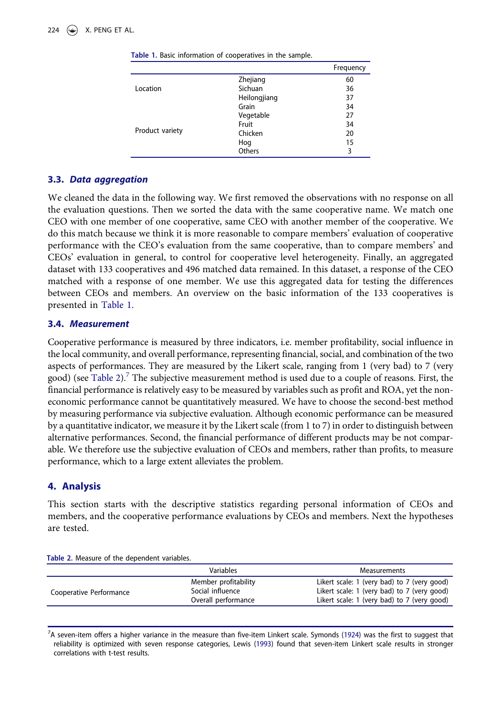|                 |              | Frequency |
|-----------------|--------------|-----------|
|                 | Zhejiang     | 60        |
| Location        | Sichuan      | 36        |
|                 | Heilongjiang | 37        |
|                 | Grain        | 34        |
|                 | Vegetable    | 27        |
|                 | Fruit        | 34        |
| Product variety | Chicken      | 20        |
|                 | Hog          | 15        |
|                 | Others       | 3         |

<span id="page-6-1"></span>Table 1. Basic information of cooperatives in the sample.

### 3.3. Data aggregation

We cleaned the data in the following way. We first removed the observations with no response on all the evaluation questions. Then we sorted the data with the same cooperative name. We match one CEO with one member of one cooperative, same CEO with another member of the cooperative. We do this match because we think it is more reasonable to compare members' evaluation of cooperative performance with the CEO's evaluation from the same cooperative, than to compare members' and CEOs' evaluation in general, to control for cooperative level heterogeneity. Finally, an aggregated dataset with 133 cooperatives and 496 matched data remained. In this dataset, a response of the CEO matched with a response of one member. We use this aggregated data for testing the differences between CEOs and members. An overview on the basic information of the 133 cooperatives is presented in [Table 1](#page-6-1).

#### 3.4. Measurement

Cooperative performance is measured by three indicators, i.e. member profitability, social influence in the local community, and overall performance, representing financial, social, and combination of the two aspects of performances. They are measured by the Likert scale, ranging from 1 (very bad) to 7 (very good) (see [Table 2](#page-6-2)).<sup>[7](#page-6-3)</sup> The subjective measurement method is used due to a couple of reasons. First, the financial performance is relatively easy to be measured by variables such as profit and ROA, yet the noneconomic performance cannot be quantitatively measured. We have to choose the second-best method by measuring performance via subjective evaluation. Although economic performance can be measured by a quantitative indicator, we measure it by the Likert scale (from 1 to 7) in order to distinguish between alternative performances. Second, the financial performance of different products may be not comparable. We therefore use the subjective evaluation of CEOs and members, rather than profits, to measure performance, which to a large extent alleviates the problem.

# <span id="page-6-0"></span>4. Analysis

This section starts with the descriptive statistics regarding personal information of CEOs and members, and the cooperative performance evaluations by CEOs and members. Next the hypotheses are tested.

|                         | Variables                                                       | <b>Measurements</b>                                                                                                                       |
|-------------------------|-----------------------------------------------------------------|-------------------------------------------------------------------------------------------------------------------------------------------|
| Cooperative Performance | Member profitability<br>Social influence<br>Overall performance | Likert scale: 1 (very bad) to 7 (very good)<br>Likert scale: 1 (very bad) to 7 (very good)<br>Likert scale: 1 (very bad) to 7 (very good) |

<span id="page-6-2"></span>Table 2. Measure of the dependent variables.

<span id="page-6-4"></span><span id="page-6-3"></span> $^7$ A seven-item offers a higher variance in the measure than five-item Linkert scale. Symonds ([1924](#page-11-12)) was the first to suggest that reliability is optimized with seven response categories, Lewis ([1993\)](#page-10-23) found that seven-item Linkert scale results in stronger correlations with t-test results.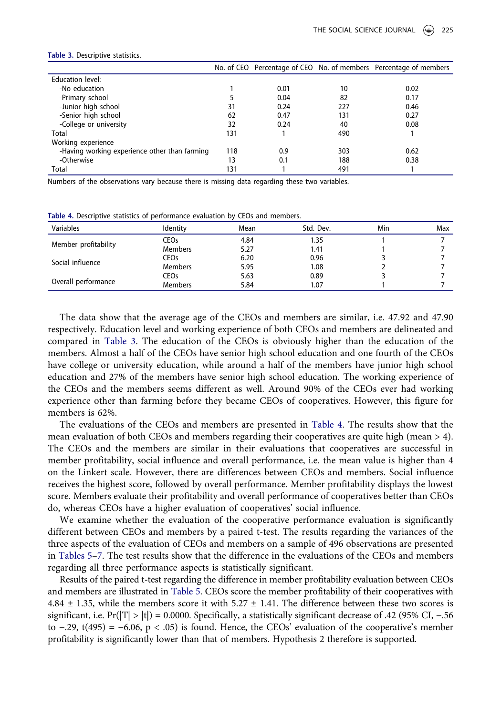|                                               |     |      |     | No. of CEO Percentage of CEO No. of members Percentage of members |
|-----------------------------------------------|-----|------|-----|-------------------------------------------------------------------|
| Education level:                              |     |      |     |                                                                   |
| -No education                                 |     | 0.01 | 10  | 0.02                                                              |
| -Primary school                               |     | 0.04 | 82  | 0.17                                                              |
| -Junior high school                           | 31  | 0.24 | 227 | 0.46                                                              |
| -Senior high school                           | 62  | 0.47 | 131 | 0.27                                                              |
| -College or university                        | 32  | 0.24 | 40  | 0.08                                                              |
| Total                                         | 131 |      | 490 |                                                                   |
| Working experience                            |     |      |     |                                                                   |
| -Having working experience other than farming | 118 | 0.9  | 303 | 0.62                                                              |
| -Otherwise                                    | 13  | 0.1  | 188 | 0.38                                                              |
| Total                                         | 131 |      | 491 |                                                                   |

#### <span id="page-7-0"></span>Table 3. Descriptive statistics.

Numbers of the observations vary because there is missing data regarding these two variables.

<span id="page-7-1"></span>Table 4. Descriptive statistics of performance evaluation by CEOs and members.

| <b>Variables</b>     | Identity               | Mean | Std. Dev. | Min | Max |
|----------------------|------------------------|------|-----------|-----|-----|
| Member profitability | <b>CEOs</b>            | 4.84 | 1.35      |     |     |
|                      | <b>Members</b>         | 5.27 | 1.41      |     |     |
| Social influence     | <b>CEOs</b>            | 6.20 | 0.96      |     |     |
|                      | <b>Members</b>         | 5.95 | 1.08      |     |     |
| Overall performance  | <b>CEO<sub>s</sub></b> | 5.63 | 0.89      |     |     |
|                      | <b>Members</b>         | 5.84 | 1.07      |     |     |

The data show that the average age of the CEOs and members are similar, i.e. 47.92 and 47.90 respectively. Education level and working experience of both CEOs and members are delineated and compared in [Table 3.](#page-7-0) The education of the CEOs is obviously higher than the education of the members. Almost a half of the CEOs have senior high school education and one fourth of the CEOs have college or university education, while around a half of the members have junior high school education and 27% of the members have senior high school education. The working experience of the CEOs and the members seems different as well. Around 90% of the CEOs ever had working experience other than farming before they became CEOs of cooperatives. However, this figure for members is 62%.

The evaluations of the CEOs and members are presented in [Table 4](#page-7-1). The results show that the mean evaluation of both CEOs and members regarding their cooperatives are quite high (mean > 4). The CEOs and the members are similar in their evaluations that cooperatives are successful in member profitability, social influence and overall performance, i.e. the mean value is higher than 4 on the Linkert scale. However, there are differences between CEOs and members. Social influence receives the highest score, followed by overall performance. Member profitability displays the lowest score. Members evaluate their profitability and overall performance of cooperatives better than CEOs do, whereas CEOs have a higher evaluation of cooperatives' social influence.

We examine whether the evaluation of the cooperative performance evaluation is significantly different between CEOs and members by a paired t-test. The results regarding the variances of the three aspects of the evaluation of CEOs and members on a sample of 496 observations are presented in [Tables 5](#page-8-0)–[7.](#page-8-1) The test results show that the difference in the evaluations of the CEOs and members regarding all three performance aspects is statistically significant.

Results of the paired t-test regarding the difference in member profitability evaluation between CEOs and members are illustrated in [Table 5](#page-8-0). CEOs score the member profitability of their cooperatives with 4.84  $\pm$  1.35, while the members score it with 5.27  $\pm$  1.41. The difference between these two scores is significant, i.e. Pr( $|T| > |t|$ ) = 0.0000. Specifically, a statistically significant decrease of .42 (95% CI, -.56) to  $-.29$ , t(495) =  $-6.06$ , p < .05) is found. Hence, the CEOs' evaluation of the cooperative's member profitability is significantly lower than that of members. Hypothesis 2 therefore is supported.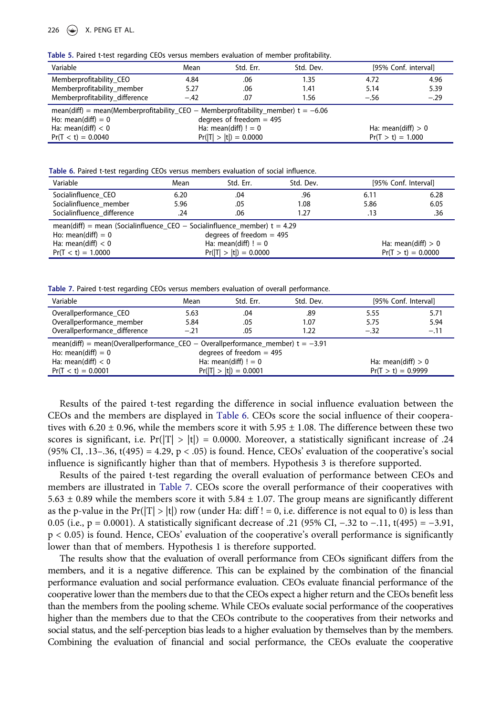226  $\left(\bigstar\right)$  X. PENG ET AL.

<span id="page-8-0"></span>Table 5. Paired t-test regarding CEOs versus members evaluation of member profitability.

| Variable                                                                            | Mean                     | Std. Err. | Std. Dev. | [95% Conf. interval] |        |  |
|-------------------------------------------------------------------------------------|--------------------------|-----------|-----------|----------------------|--------|--|
| Memberprofitability_CEO                                                             | 4.84                     | .06       | 1.35      | 4.72                 | 4.96   |  |
| Memberprofitability member                                                          | 5.27                     | .06       | 1.41      | 5.14                 | 5.39   |  |
| Memberprofitability difference                                                      | $-.42$                   | .07       | 1.56      | $-.56$               | $-.29$ |  |
| mean(diff) = mean(Memberprofitability CEO - Memberprofitability member) t = $-6.06$ |                          |           |           |                      |        |  |
| degrees of freedom $= 495$<br>Ho: mean(diff) = $0$                                  |                          |           |           |                      |        |  |
| Ha: mean(diff) $< 0$                                                                | Ha: mean(diff) $!= 0$    |           |           | Ha: mean(diff) $> 0$ |        |  |
| $Pr(T < t) = 0.0040$                                                                | $Pr( T  >  t ) = 0.0000$ |           |           | $Pr(T > t) = 1.000$  |        |  |

<span id="page-8-2"></span>Table 6. Paired t-test regarding CEOs versus members evaluation of social influence.

| Variable                                                                    | Mean                     | Std. Err. | Std. Dev. | [95% Conf. Interval] |      |  |
|-----------------------------------------------------------------------------|--------------------------|-----------|-----------|----------------------|------|--|
| Socialinfluence CEO                                                         | 6.20                     | .04       | .96       | 6.11                 | 6.28 |  |
| Socialinfluence member                                                      | 5.96                     | .05       | 1.08      | 5.86                 | 6.05 |  |
| Socialinfluence difference                                                  | .24                      | .06       | 1.27      | .13                  | .36  |  |
| mean(diff) = mean (Socialinfluence CEO - Socialinfluence member) $t = 4.29$ |                          |           |           |                      |      |  |
| degrees of freedom $= 495$<br>Ho: mean(diff) $= 0$                          |                          |           |           |                      |      |  |
| Ha: mean(diff) $< 0$                                                        | Ha: mean(diff) $!= 0$    |           |           | Ha: mean(diff) $> 0$ |      |  |
| $Pr(T < t) = 1.0000$                                                        | $Pr( T  >  t ) = 0.0000$ |           |           | $Pr(T > t) = 0.0000$ |      |  |

<span id="page-8-1"></span>Table 7. Paired t-test regarding CEOs versus members evaluation of overall performance.

| Variable                                                                          | Mean                     | Std. Err. | Std. Dev. | [95% Conf. Interval] |        |  |
|-----------------------------------------------------------------------------------|--------------------------|-----------|-----------|----------------------|--------|--|
| Overallperformance_CEO                                                            | 5.63                     | .04       | .89       | 5.55                 | 5.71   |  |
| Overallperformance member                                                         | 5.84                     | .05       | 1.07      | 5.75                 | 5.94   |  |
| Overallperformance difference                                                     | $-.21$                   | .05       | 1.22      | $-.32$               | $-.11$ |  |
| mean(diff) = mean(Overallperformance_CEO - Overallperformance_member) $t = -3.91$ |                          |           |           |                      |        |  |
| degrees of freedom $= 495$<br>Ho: mean(diff) = $0$                                |                          |           |           |                      |        |  |
| Ha: mean(diff) $< 0$                                                              | Ha: mean(diff) $!= 0$    |           |           | Ha: mean(diff) $> 0$ |        |  |
| $Pr(T < t) = 0.0001$                                                              | $Pr( T  >  t ) = 0.0001$ |           |           | $Pr(T > t) = 0.9999$ |        |  |

Results of the paired t-test regarding the difference in social influence evaluation between the CEOs and the members are displayed in [Table 6](#page-8-2). CEOs score the social influence of their cooperatives with 6.20  $\pm$  0.96, while the members score it with 5.95  $\pm$  1.08. The difference between these two scores is significant, i.e.  $Pr(|T| > |t|) = 0.0000$ . Moreover, a statistically significant increase of .24  $(95\% \text{ CI}, 13-.36, t(495) = 4.29, p < .05)$  is found. Hence, CEOs' evaluation of the cooperative's social influence is significantly higher than that of members. Hypothesis 3 is therefore supported.

Results of the paired t-test regarding the overall evaluation of performance between CEOs and members are illustrated in [Table 7](#page-8-1). CEOs score the overall performance of their cooperatives with 5.63  $\pm$  0.89 while the members score it with 5.84  $\pm$  1.07. The group means are significantly different as the p-value in the  $Pr(|T| > |t|)$  row (under Ha: diff! = 0, i.e. difference is not equal to 0) is less than 0.05 (i.e., p = 0.0001). A statistically significant decrease of .21 (95% CI, −.32 to −.11, t(495) = −3.91, p < 0.05) is found. Hence, CEOs' evaluation of the cooperative's overall performance is significantly lower than that of members. Hypothesis 1 is therefore supported.

The results show that the evaluation of overall performance from CEOs significant differs from the members, and it is a negative difference. This can be explained by the combination of the financial performance evaluation and social performance evaluation. CEOs evaluate financial performance of the cooperative lower than the members due to that the CEOs expect a higher return and the CEOs benefit less than the members from the pooling scheme. While CEOs evaluate social performance of the cooperatives higher than the members due to that the CEOs contribute to the cooperatives from their networks and social status, and the self-perception bias leads to a higher evaluation by themselves than by the members. Combining the evaluation of financial and social performance, the CEOs evaluate the cooperative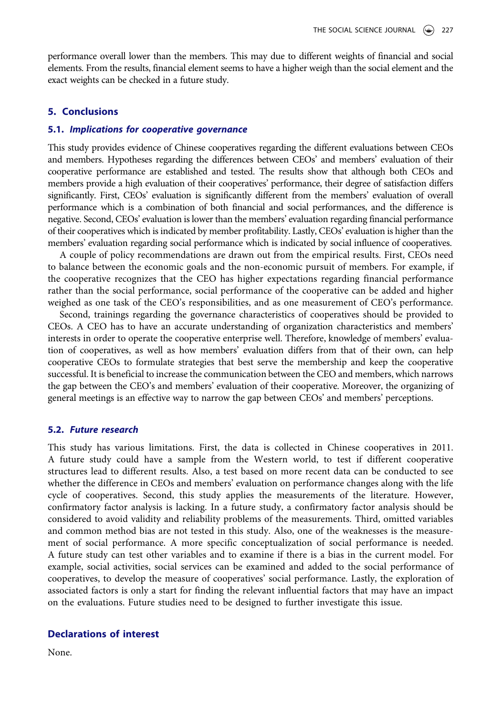performance overall lower than the members. This may due to different weights of financial and social elements. From the results, financial element seems to have a higher weigh than the social element and the exact weights can be checked in a future study.

#### <span id="page-9-0"></span>5. Conclusions

#### 5.1. Implications for cooperative governance

This study provides evidence of Chinese cooperatives regarding the different evaluations between CEOs and members. Hypotheses regarding the differences between CEOs' and members' evaluation of their cooperative performance are established and tested. The results show that although both CEOs and members provide a high evaluation of their cooperatives' performance, their degree of satisfaction differs significantly. First, CEOs' evaluation is significantly different from the members' evaluation of overall performance which is a combination of both financial and social performances, and the difference is negative. Second, CEOs' evaluation is lower than the members' evaluation regarding financial performance of their cooperatives which is indicated by member profitability. Lastly, CEOs' evaluation is higher than the members' evaluation regarding social performance which is indicated by social influence of cooperatives.

A couple of policy recommendations are drawn out from the empirical results. First, CEOs need to balance between the economic goals and the non-economic pursuit of members. For example, if the cooperative recognizes that the CEO has higher expectations regarding financial performance rather than the social performance, social performance of the cooperative can be added and higher weighed as one task of the CEO's responsibilities, and as one measurement of CEO's performance.

Second, trainings regarding the governance characteristics of cooperatives should be provided to CEOs. A CEO has to have an accurate understanding of organization characteristics and members' interests in order to operate the cooperative enterprise well. Therefore, knowledge of members' evaluation of cooperatives, as well as how members' evaluation differs from that of their own, can help cooperative CEOs to formulate strategies that best serve the membership and keep the cooperative successful. It is beneficial to increase the communication between the CEO and members, which narrows the gap between the CEO's and members' evaluation of their cooperative. Moreover, the organizing of general meetings is an effective way to narrow the gap between CEOs' and members' perceptions.

#### 5.2. Future research

This study has various limitations. First, the data is collected in Chinese cooperatives in 2011. A future study could have a sample from the Western world, to test if different cooperative structures lead to different results. Also, a test based on more recent data can be conducted to see whether the difference in CEOs and members' evaluation on performance changes along with the life cycle of cooperatives. Second, this study applies the measurements of the literature. However, confirmatory factor analysis is lacking. In a future study, a confirmatory factor analysis should be considered to avoid validity and reliability problems of the measurements. Third, omitted variables and common method bias are not tested in this study. Also, one of the weaknesses is the measurement of social performance. A more specific conceptualization of social performance is needed. A future study can test other variables and to examine if there is a bias in the current model. For example, social activities, social services can be examined and added to the social performance of cooperatives, to develop the measure of cooperatives' social performance. Lastly, the exploration of associated factors is only a start for finding the relevant influential factors that may have an impact on the evaluations. Future studies need to be designed to further investigate this issue.

## Declarations of interest

None.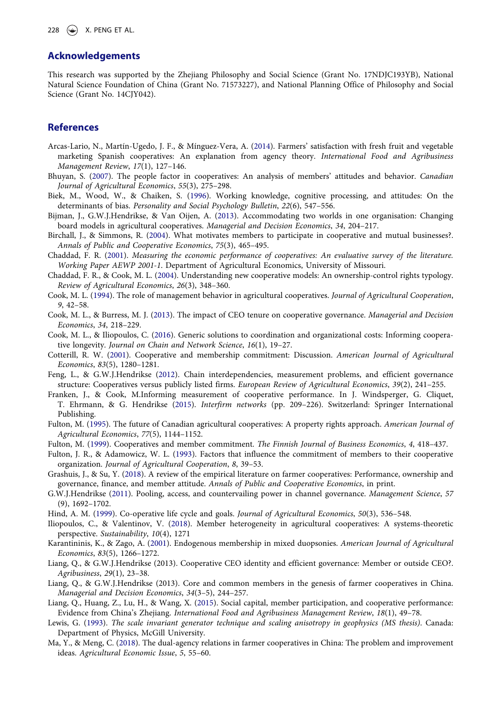#### Acknowledgements

This research was supported by the Zhejiang Philosophy and Social Science (Grant No. 17NDJC193YB), National Natural Science Foundation of China (Grant No. 71573227), and National Planning Office of Philosophy and Social Science (Grant No. 14CJY042).

#### References

- <span id="page-10-11"></span>Arcas-Lario, N., Martín-Ugedo, J. F., & Mínguez-Vera, A. ([2014\)](#page-2-1). Farmers' satisfaction with fresh fruit and vegetable marketing Spanish cooperatives: An explanation from agency theory. International Food and Agribusiness Management Review, 17(1), 127–146.
- <span id="page-10-3"></span>Bhuyan, S. ([2007](#page-1-3)). The people factor in cooperatives: An analysis of members' attitudes and behavior. Canadian Journal of Agricultural Economics, 55(3), 275–298.
- <span id="page-10-20"></span>Biek, M., Wood, W., & Chaiken, S. [\(1996](#page-4-2)). Working knowledge, cognitive processing, and attitudes: On the determinants of bias. Personality and Social Psychology Bulletin, 22(6), 547–556.
- <span id="page-10-0"></span>Bijman, J., G.W.J.Hendrikse, & Van Oijen, A. [\(2013](#page-1-3)). Accommodating two worlds in one organisation: Changing board models in agricultural cooperatives. Managerial and Decision Economics, 34, 204–217.
- <span id="page-10-13"></span>Birchall, J., & Simmons, R. [\(2004](#page-2-2)). What motivates members to participate in cooperative and mutual businesses?. Annals of Public and Cooperative Economics, 75(3), 465–495.
- <span id="page-10-19"></span>Chaddad, F. R. [\(2001](#page-4-3)). Measuring the economic performance of cooperatives: An evaluative survey of the literature. Working Paper AEWP 2001-1. Department of Agricultural Economics, University of Missouri.
- <span id="page-10-1"></span>Chaddad, F. R., & Cook, M. L. ([2004\)](#page-1-4). Understanding new cooperative models: An ownership-control rights typology. Review of Agricultural Economics, 26(3), 348–360.
- <span id="page-10-5"></span>Cook, M. L. ([1994](#page-1-5)). The role of management behavior in agricultural cooperatives. Journal of Agricultural Cooperation, 9, 42–58.
- <span id="page-10-4"></span>Cook, M. L., & Burress, M. J. [\(2013\)](#page-1-6). The impact of CEO tenure on cooperative governance. Managerial and Decision Economics, 34, 218–229.
- <span id="page-10-6"></span>Cook, M. L., & Iliopoulos, C. [\(2016\)](#page-1-5). Generic solutions to coordination and organizational costs: Informing cooperative longevity. Journal on Chain and Network Science, 16(1), 19–27.
- <span id="page-10-14"></span>Cotterill, R. W. ([2001\)](#page-2-3). Cooperative and membership commitment: Discussion. American Journal of Agricultural Economics, 83(5), 1280–1281.
- <span id="page-10-16"></span>Feng, L., & G.W.J.Hendrikse ([2012\)](#page-3-1). Chain interdependencies, measurement problems, and efficient governance structure: Cooperatives versus publicly listed firms. European Review of Agricultural Economics, 39(2), 241–255.
- <span id="page-10-12"></span>Franken, J., & Cook, M.Informing measurement of cooperative performance. In J. Windsperger, G. Cliquet, T. Ehrmann, & G. Hendrikse [\(2015\)](#page-2-4). Interfirm networks (pp. 209–226). Switzerland: Springer International Publishing.
- <span id="page-10-21"></span>Fulton, M. [\(1995](#page-4-4)). The future of Canadian agricultural cooperatives: A property rights approach. American Journal of Agricultural Economics, 77(5), 1144–1152.
- <span id="page-10-22"></span>Fulton, M. ([1999](#page-4-5)). Cooperatives and member commitment. The Finnish Journal of Business Economics, 4, 418–437.
- <span id="page-10-10"></span>Fulton, J. R., & Adamowicz, W. L. ([1993](#page-2-5)). Factors that influence the commitment of members to their cooperative organization. Journal of Agricultural Cooperation, 8, 39–53.
- <span id="page-10-7"></span>Grashuis, J., & Su, Y. ([2018\)](#page-1-5). A review of the empirical literature on farmer cooperatives: Performance, ownership and governance, finance, and member attitude. Annals of Public and Cooperative Economics, in print.
- <span id="page-10-8"></span>G.W.J.Hendrikse ([2011\)](#page-1-7). Pooling, access, and countervailing power in channel governance. Management Science, 57 (9), 1692–1702.
- <span id="page-10-9"></span><span id="page-10-2"></span>Hind, A. M. ([1999\)](#page-1-4). Co-operative life cycle and goals. Journal of Agricultural Economics, 50(3), 536-548.
- Iliopoulos, C., & Valentinov, V. [\(2018\)](#page-1-8). Member heterogeneity in agricultural cooperatives: A systems-theoretic perspective. Sustainability, 10(4), 1271
- <span id="page-10-18"></span>Karantininis, K., & Zago, A. [\(2001\)](#page-4-4). Endogenous membership in mixed duopsonies. American Journal of Agricultural Economics, 83(5), 1266–1272.
- Liang, Q., & G.W.J.Hendrikse (2013). Cooperative CEO identity and efficient governance: Member or outside CEO?. Agribusiness, 29(1), 23–38.
- Liang, Q., & G.W.J.Hendrikse (2013). Core and common members in the genesis of farmer cooperatives in China. Managerial and Decision Economics, 34(3–5), 244–257.
- <span id="page-10-15"></span>Liang, Q., Huang, Z., Lu, H., & Wang, X. [\(2015\)](#page-3-2). Social capital, member participation, and cooperative performance: Evidence from China's Zhejiang. International Food and Agribusiness Management Review, 18(1), 49–78.
- <span id="page-10-23"></span>Lewis, G. [\(1993\)](#page-6-4). The scale invariant generator technique and scaling anisotropy in geophysics (MS thesis). Canada: Department of Physics, McGill University.
- <span id="page-10-17"></span>Ma, Y., & Meng, C. ([2018](#page-3-3)). The dual-agency relations in farmer cooperatives in China: The problem and improvement ideas. Agricultural Economic Issue, 5, 55–60.